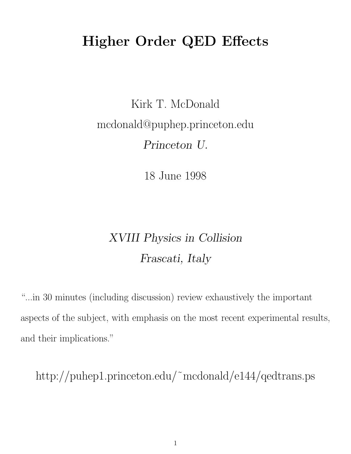# Higher Order QED Effects

Kirk T. McDonald mcdonald@puphep.princeton.edu Princeton U.

18 June 1998

# XVIII Physics in Collision Frascati, Italy

"...in 30 minutes (including discussion) review exhaustively the important aspects of the subject, with emphasis on the most recent experimental results, and their implications."

http://puhep1.princeton.edu/˜mcdonald/e144/qedtrans.ps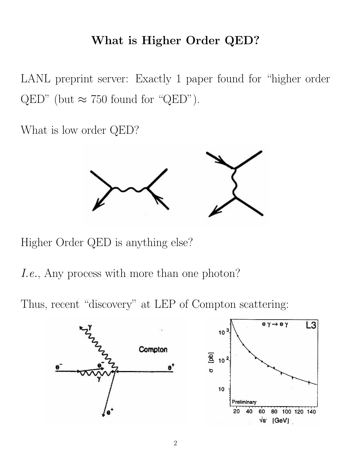# What is Higher Order QED?

LANL preprint server: Exactly 1 paper found for "higher order  $\text{QED}$ " (but  $\approx$  750 found for "QED").

What is low order QED?



Higher Order QED is anything else?

I.e., Any process with more than one photon?

Thus, recent "discovery" at LEP of Compton scattering:

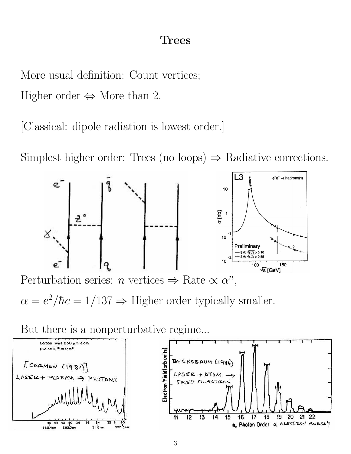### Trees

More usual definition: Count vertices;

Higher order  $\Leftrightarrow$  More than 2.

[Classical: dipole radiation is lowest order.]

Simplest higher order: Trees (no loops)  $\Rightarrow$  Radiative corrections.



Perturbation series: *n* vertices  $\Rightarrow$  Rate  $\propto \alpha^n$ ,

 $\alpha = e^2/\hbar c = 1/137 \Rightarrow$  Higher order typically smaller.

But there is a nonperturbative regime...

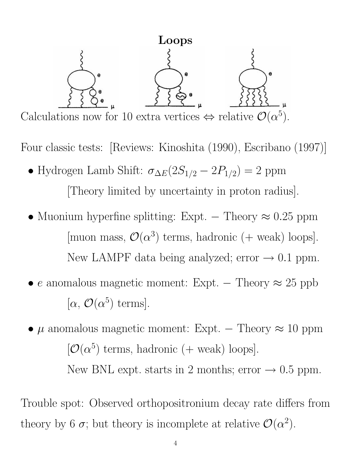

Four classic tests: [Reviews: Kinoshita (1990), Escribano (1997)]

- Hydrogen Lamb Shift:  $\sigma_{\Delta E}(2S_{1/2} 2P_{1/2}) = 2$  ppm [Theory limited by uncertainty in proton radius].
- Muonium hyperfine splitting: Expt. Theory  $\approx 0.25$  ppm [muon mass,  $\mathcal{O}(\alpha^3)$  terms, hadronic (+ weak) loops]. New LAMPF data being analyzed; error  $\rightarrow$  0.1 ppm.
- e anomalous magnetic moment: Expt. Theory  $\approx 25$  ppb  $[\alpha, \mathcal{O}(\alpha^5) \text{ terms}].$
- $\mu$  anomalous magnetic moment: Expt. Theory  $\approx 10$  ppm  $[O(\alpha^5)$  terms, hadronic (+ weak) loops]. New BNL expt. starts in 2 months; error  $\rightarrow$  0.5 ppm.

Trouble spot: Observed orthopositronium decay rate differs from theory by 6  $\sigma$ ; but theory is incomplete at relative  $\mathcal{O}(\alpha^2)$ .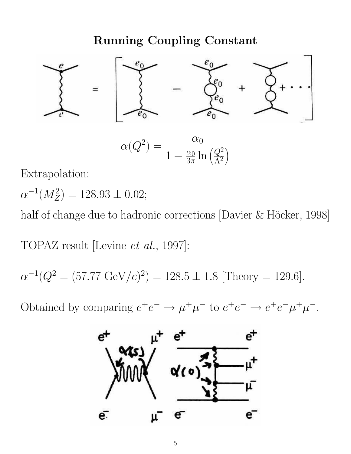# Running Coupling Constant



$$
\alpha(Q^2) = \frac{\alpha_0}{1 - \frac{\alpha_0}{3\pi} \ln\left(\frac{Q^2}{\Lambda^2}\right)}
$$

Extrapolation:

$$
\alpha^{-1}(M_Z^2) = 128.93 \pm 0.02;
$$

half of change due to hadronic corrections [Davier  $&$  Höcker, 1998]

TOPAZ result [Levine et al., 1997]:

$$
\alpha^{-1}(Q^2 = (57.77 \text{ GeV}/c)^2) = 128.5 \pm 1.8 \text{ [Theory} = 129.6].
$$

Obtained by comparing  $e^+e^- \to \mu^+\mu^-$  to  $e^+e^- \to e^+e^-\mu^+\mu^-$ .

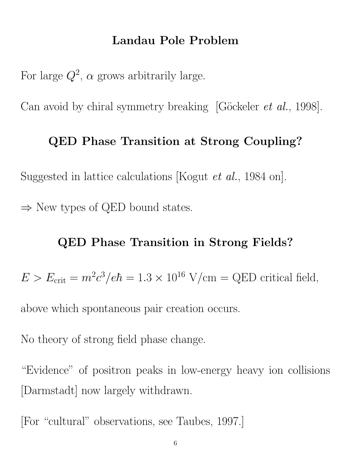### Landau Pole Problem

For large  $Q^2$ ,  $\alpha$  grows arbitrarily large.

Can avoid by chiral symmetry breaking [Göckeler *et al.*, 1998].

### QED Phase Transition at Strong Coupling?

Suggested in lattice calculations [Kogut et al., 1984 on].

 $\Rightarrow$  New types of QED bound states.

### QED Phase Transition in Strong Fields?

 $E > E_{\text{crit}} = m^2 c^3 / e\hbar = 1.3 \times 10^{16} \text{ V/cm} = \text{QED critical field},$ 

above which spontaneous pair creation occurs.

No theory of strong field phase change.

"Evidence" of positron peaks in low-energy heavy ion collisions [Darmstadt] now largely withdrawn.

[For "cultural" observations, see Taubes, 1997.]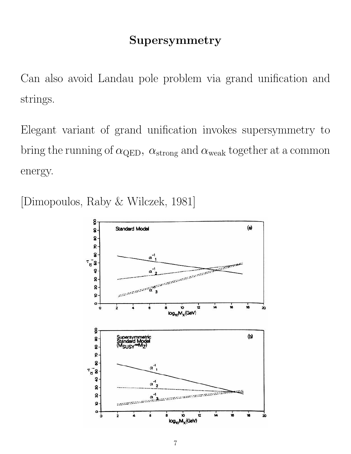# Supersymmetry

Can also avoid Landau pole problem via grand unification and strings.

Elegant variant of grand unification invokes supersymmetry to bring the running of  $\alpha_{\text{QED}}$ ,  $\alpha_{\text{strong}}$  and  $\alpha_{\text{weak}}$  together at a common energy.

[Dimopoulos, Raby & Wilczek, 1981]

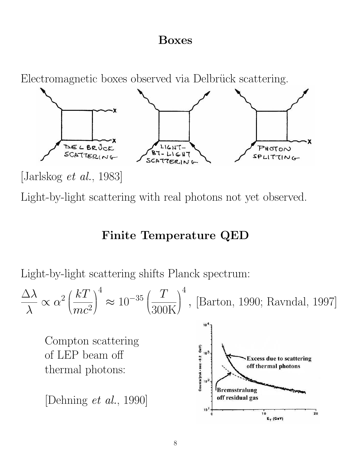## Boxes

Electromagnetic boxes observed via Delbrück scattering.



[Jarlskog et al., 1983]

Light-by-light scattering with real photons not yet observed.

# Finite Temperature QED

Light-by-light scattering shifts Planck spectrum:

$$
\frac{\Delta\lambda}{\lambda} \propto \alpha^2 \left(\frac{kT}{mc^2}\right)^4 \approx 10^{-35} \left(\frac{T}{300\text{K}}\right)^4, \text{ [Barton, 1990; Rawndal, 1997]}
$$

Compton scattering of LEP beam off thermal photons:

[Dehning et al., 1990]

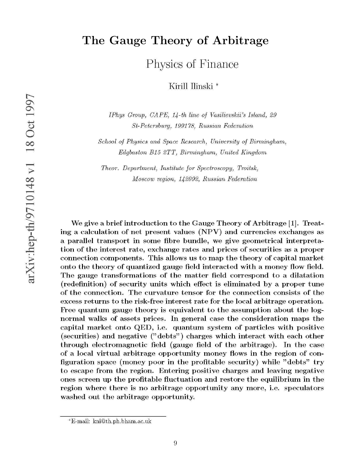# The Gauge Theory of Arbitrage

Physics of Finance

Kirill Ilinski<sup>\*</sup>

IPhys Group, CAPE, 14-th line of Vasilievskii's Island, 29 St-Petersburg, 199178, Russian Federation

School of Physics and Space Research, University of Birmingham, Edgbaston B15 2TT, Birmingham, United Kingdom

Theor. Department. Institute for Spectroscopy. Troitsk. Moscow region, 142092, Russian Federation

We give a brief introduction to the Gauge Theory of Arbitrage [1]. Treating a calculation of net present values (NPV) and currencies exchanges as a parallel transport in some fibre bundle, we give geometrical interpretation of the interest rate, exchange rates and prices of securities as a proper connection components. This allows us to map the theory of capital market onto the theory of quantized gauge field interacted with a money flow field. The gauge transformations of the matter field correspond to a dilatation (redefinition) of security units which effect is eliminated by a proper tune of the connection. The curvature tensor for the connection consists of the excess returns to the risk-free interest rate for the local arbitrage operation. Free quantum gauge theory is equivalent to the assumption about the lognormal walks of assets prices. In general case the consideration maps the capital market onto QED, i.e. quantum system of particles with positive (securities) and negative ("debts") charges which interact with each other through electromagnetic field (gauge field of the arbitrage). In the case of a local virtual arbitrage opportunity money flows in the region of configuration space (money poor in the profitable security) while "debts" try to escape from the region. Entering positive charges and leaving negative ones screen up the profitable fluctuation and restore the equilibrium in the region where there is no arbitrage opportunity any more, i.e. speculators washed out the arbitrage opportunity.

<sup>\*</sup>E-mail: kni@th.ph.bham.ac.uk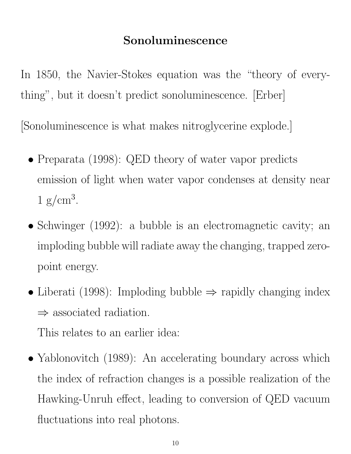# Sonoluminescence

In 1850, the Navier-Stokes equation was the "theory of everything", but it doesn't predict sonoluminescence. [Erber]

[Sonoluminescence is what makes nitroglycerine explode.]

- Preparata (1998): QED theory of water vapor predicts emission of light when water vapor condenses at density near  $1 \text{ g/cm}^3$ .
- Schwinger (1992): a bubble is an electromagnetic cavity; an imploding bubble will radiate away the changing, trapped zeropoint energy.
- Liberati (1998): Imploding bubble  $\Rightarrow$  rapidly changing index  $\Rightarrow$  associated radiation.

This relates to an earlier idea:

• Yablonovitch (1989): An accelerating boundary across which the index of refraction changes is a possible realization of the Hawking-Unruh effect, leading to conversion of QED vacuum fluctuations into real photons.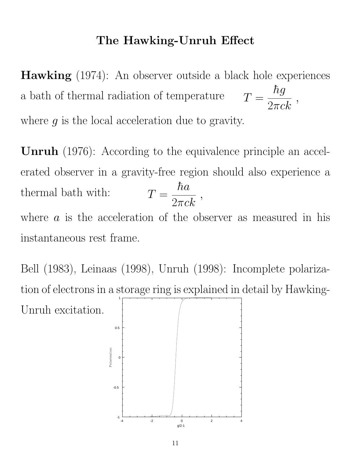## The Hawking-Unruh Effect

Hawking (1974): An observer outside a black hole experiences a bath of thermal radiation of temperature  $\,$  $\hbar g$  $\frac{1}{2\pi c k}$  , where  $q$  is the local acceleration due to gravity.

Unruh (1976): According to the equivalence principle an accelerated observer in a gravity-free region should also experience a thermal bath with:  $\hbar a$  $\frac{r c \alpha}{2 \pi c k}$  , where  $\alpha$  is the acceleration of the observer as measured in his instantaneous rest frame.

Bell (1983), Leinaas (1998), Unruh (1998): Incomplete polarization of electrons in a storage ring is explained in detail by Hawking-Unruh excitation. 1

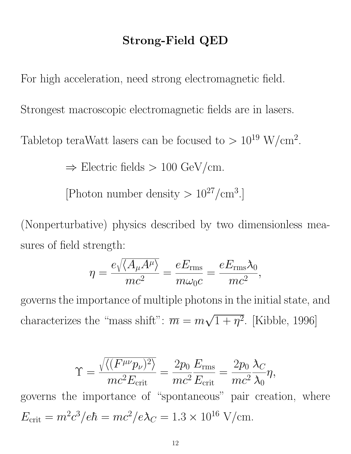# Strong-Field QED

For high acceleration, need strong electromagnetic field.

Strongest macroscopic electromagnetic fields are in lasers.

Tabletop teraWatt lasers can be focused to  $> 10^{19}$  W/cm<sup>2</sup>.

 $\Rightarrow$  Electric fields  $> 100 \text{ GeV/cm}$ .

[Photon number density  $> 10^{27}/\text{cm}^3$ .]

(Nonperturbative) physics described by two dimensionless measures of field strength:

$$
\eta = \frac{e\sqrt{\langle A_{\mu}A^{\mu}\rangle}}{mc^2} = \frac{eE_{\rm rms}}{m\omega_0c} = \frac{eE_{\rm rms}\lambda_0}{mc^2},
$$

governs the importance of multiple photons in the initial state, and characterizes the "mass shift":  $\overline{m} = m$ √  $\overline{1+\eta^2}$ . [Kibble, 1996]

$$
\Upsilon = \frac{\sqrt{\langle (F^{\mu\nu}p_{\nu})^2 \rangle}}{mc^2 E_{\text{crit}}} = \frac{2p_0}{mc^2} \frac{E_{\text{rms}}}{E_{\text{crit}}} = \frac{2p_0}{mc^2} \frac{\lambda_C}{\lambda_0} \eta,
$$

governs the importance of "spontaneous" pair creation, where  $E_{\text{crit}} = m^2 c^3 / e \hbar = mc^2 / e \lambda_C = 1.3 \times 10^{16} \text{ V/cm}.$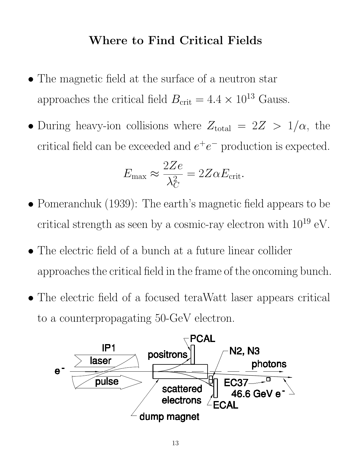# Where to Find Critical Fields

- The magnetic field at the surface of a neutron star approaches the critical field  $B_{\text{crit}} = 4.4 \times 10^{13}$  Gauss.
- During heavy-ion collisions where  $Z_{\text{total}} = 2Z > 1/\alpha$ , the critical field can be exceeded and  $e^+e^-$  production is expected.

$$
E_{\text{max}} \approx \frac{2Ze}{\lambda_C^2} = 2Z\alpha E_{\text{crit}}.
$$

- Pomeranchuk (1939): The earth's magnetic field appears to be critical strength as seen by a cosmic-ray electron with  $10^{19}$  eV.
- The electric field of a bunch at a future linear collider approaches the critical field in the frame of the oncoming bunch.
- The electric field of a focused teraWatt laser appears critical to a counterpropagating 50-GeV electron.

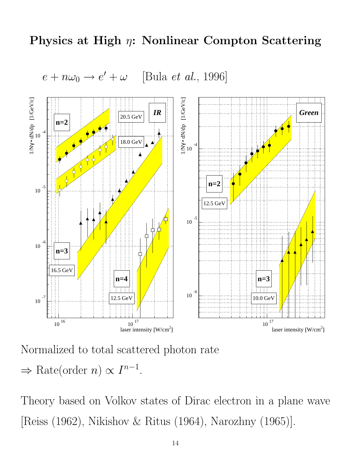### Physics at High  $\eta$ : Nonlinear Compton Scattering





Normalized to total scattered photon rate

 $\Rightarrow$  Rate(order *n*)  $\propto I^{n-1}$ .

Theory based on Volkov states of Dirac electron in a plane wave [Reiss (1962), Nikishov & Ritus (1964), Narozhny (1965)].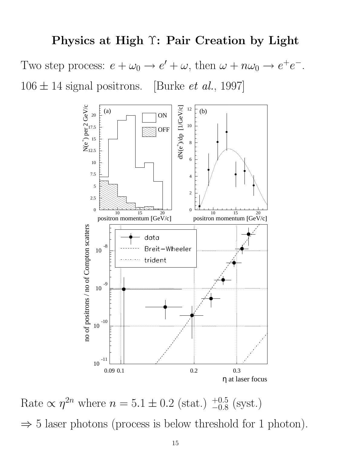#### Physics at High Υ: Pair Creation by Light

Two step process:  $e + \omega_0 \rightarrow e' + \omega$ , then  $\omega + n\omega_0 \rightarrow e^+e^-$ .  $106 \pm 14$  signal positrons. [Burke *et al.*, 1997]



Rate  $\propto \eta^{2n}$  where  $n = 5.1 \pm 0.2$  (stat.)  $^{+0.5}_{-0.8}$  (syst.)  $\Rightarrow$  5 laser photons (process is below threshold for 1 photon).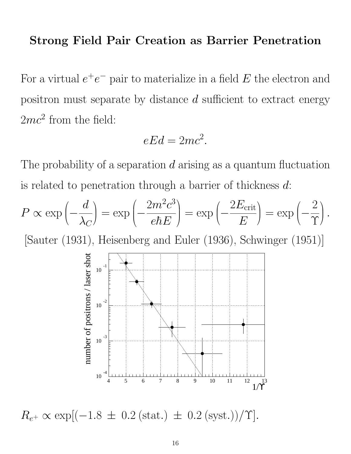### Strong Field Pair Creation as Barrier Penetration

For a virtual  $e^+e^-$  pair to materialize in a field E the electron and positron must separate by distance d sufficient to extract energy  $2mc^2$  from the field:

$$
eEd = 2mc^2.
$$

The probability of a separation  $d$  arising as a quantum fluctuation is related to penetration through a barrier of thickness  $d$ :

$$
P \propto \exp\left(-\frac{d}{\lambda_C}\right) = \exp\left(-\frac{2m^2c^3}{e\hbar E}\right) = \exp\left(-\frac{2E_{\text{crit}}}{E}\right) = \exp\left(-\frac{2}{\Upsilon}\right).
$$

[Sauter (1931), Heisenberg and Euler (1936), Schwinger (1951)]



 $R_{e^+} \propto \exp[(-1.8 \pm 0.2 \text{ (stat.)} \pm 0.2 \text{ (syst.)})/\Upsilon].$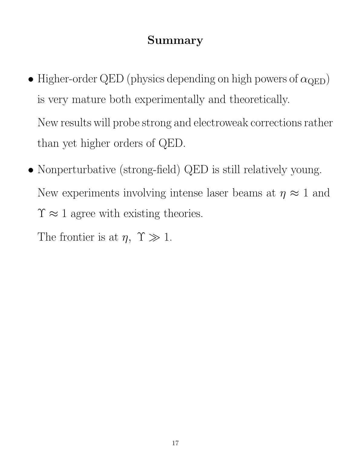# Summary

- Higher-order QED (physics depending on high powers of  $\alpha_{\text{QED}}$ ) is very mature both experimentally and theoretically. New results will probe strong and electroweak corrections rather than yet higher orders of QED.
- Nonperturbative (strong-field) QED is still relatively young. New experiments involving intense laser beams at  $\eta \approx 1$  and  $\Upsilon \approx 1$  agree with existing theories.

The frontier is at  $\eta$ ,  $\Upsilon \gg 1$ .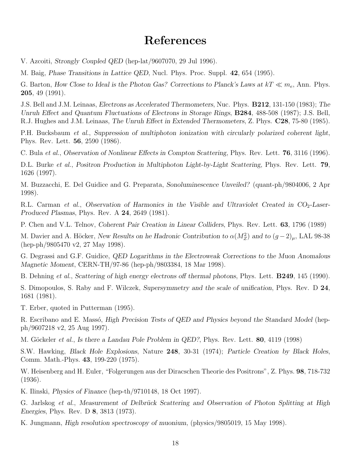## References

V. Azcoiti, Strongly Coupled QED (hep-lat/9607070, 29 Jul 1996).

M. Baig, Phase Transitions in Lattice QED, Nucl. Phys. Proc. Suppl. 42, 654 (1995).

G. Barton, How Close to Ideal is the Photon Gas? Corrections to Planck's Laws at  $kT \ll m_e$ , Ann. Phys. 205, 49 (1991).

J.S. Bell and J.M. Leinaas, Electrons as Accelerated Thermometers, Nuc. Phys. B212, 131-150 (1983); The Unruh Effect and Quantum Fluctuations of Electrons in Storage Rings, B284, 488-508 (1987); J.S. Bell, R.J. Hughes and J.M. Leinaas, The Unruh Effect in Extended Thermometers, Z. Phys. C28, 75-80 (1985).

P.H. Bucksbaum et al., Suppression of multiphoton ionization with circularly polarized coherent light, Phys. Rev. Lett. 56, 2590 (1986).

C. Bula et al., Observation of Nonlinear Effects in Compton Scattering, Phys. Rev. Lett. 76, 3116 (1996).

D.L. Burke et al., Positron Production in Multiphoton Light-by-Light Scattering, Phys. Rev. Lett. 79, 1626 (1997).

M. Buzzacchi, E. Del Guidice and G. Preparata, Sonoluminescence Unveiled? (quant-ph/9804006, 2 Apr 1998).

R.L. Carman et al., Observation of Harmonics in the Visible and Ultraviolet Created in  $CO<sub>2</sub>$ -Laser-Produced Plasmas, Phys. Rev. A 24, 2649 (1981).

P. Chen and V.L. Telnov, Coherent Pair Creation in Linear Colliders, Phys. Rev. Lett. 63, 1796 (1989)

M. Davier and A. Höcker, New Results on he Hadronic Contribution to  $\alpha(M_Z^2)$  and to  $(g-2)_{\mu}$ , LAL 98-38 (hep-ph/9805470 v2, 27 May 1998).

G. Degrassi and G.F. Guidice, QED Logarithms in the Electroweak Corrections to the Muon Anomalous Magnetic Moment, CERN-TH/97-86 (hep-ph/9803384, 18 Mar 1998).

B. Dehning *et al.*, Scattering of high energy electrons of thermal photons, Phys. Lett. **B249**, 145 (1990).

S. Dimopoulos, S. Raby and F. Wilczek, Supersymmetry and the scale of unification, Phys. Rev. D 24, 1681 (1981).

T. Erber, quoted in Putterman (1995).

R. Escribano and E. Massó, High Precision Tests of QED and Physics beyond the Standard Model (hepph/9607218 v2, 25 Aug 1997).

M. Göckeler *et al.*, Is there a Landau Pole Problem in QED?, Phys. Rev. Lett. **80**, 4119 (1998)

S.W. Hawking, Black Hole Explosions, Nature 248, 30-31 (1974); Particle Creation by Black Holes, Comm. Math.-Phys. 43, 199-220 (1975).

W. Heisenberg and H. Euler, "Folgerungen aus der Diracschen Theorie des Positrons", Z. Phys. 98, 718-732 (1936).

K. Ilinski, Physics of Finance (hep-th/9710148, 18 Oct 1997).

G. Jarlskog et al., Measurement of Delbrück Scattering and Observation of Photon Splitting at High Energies, Phys. Rev. D 8, 3813 (1973).

K. Jungmann, High resolution spectroscopy of muonium, (physics/9805019, 15 May 1998).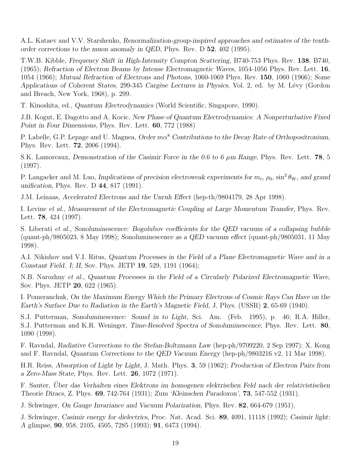A.L. Kataev and V.V. Starshenko, Renormalization-group-inspired approaches and estimates of the tenthorder corrections to the muon anomaly in QED, Phys. Rev. D 52, 402 (1995).

T.W.B. Kibble, Frequency Shift in High-Intensity Compton Scattering, B740-753 Phys. Rev. 138, B740, (1965); Refraction of Electron Beams by Intense Electromagnetic Waves, 1054-1056 Phys. Rev. Lett. 16, 1054 (1966); Mutual Refraction of Electrons and Photons, 1060-1069 Phys. Rev. 150, 1060 (1966); Some Applications of Coherent States, 299-345 Cargèse Lectures in Physics, Vol. 2, ed. by M. Lévy (Gordon and Breach, New York, 1968), p. 299.

T. Kinoshita, ed., Quantum Electrodynamics (World Scientific, Singapore, 1990).

J.B. Kogut, E. Dagotto and A. Kocic, New Phase of Quantum Electrodynamics: A Nonperturbative Fixed Point in Four Dimensions, Phys. Rev. Lett. 60, 772 (1988)

P. Labelle, G.P. Lepage and U. Magnea, Order  $m\alpha^8$  Contributions to the Decay Rate of Orthopositronium, Phys. Rev. Lett. 72, 2006 (1994).

S.K. Lamoreaux, Demonstration of the Casimir Force in the 0.6 to 6  $\mu$ m Range, Phys. Rev. Lett. 78, 5 (1997).

P. Langacker and M. Luo, Implications of precision electroweak experiments for  $m_t$ ,  $\rho_0$ ,  $\sin^2 \theta_W$ , and grand unification, Phys. Rev. D 44, 817 (1991).

J.M. Leinaas, Accelerated Electrons and the Unruh Effect (hep-th/9804179, 28 Apr 1998).

I. Levine et al., Measurement of the Electromagnetic Coupling at Large Momentum Transfer, Phys. Rev. Lett. 78, 424 (1997).

S. Liberati et al., Sonoluminescence: Bogolubov coefficients for the QED vacuum of a collapsing bubble (quant-ph/9805023, 8 May 1998); Sonoluminescence as a QED vacuum effect (quant-ph/9805031, 11 May 1998).

A.I. Nikishov and V.I. Ritus, Quantum Processes in the Field of a Plane Electromagnetic Wave and in a Constant Field. I; II, Sov. Phys. JETP 19, 529, 1191 (1964);

N.B. Narozhny et al., Quantum Processes in the Field of a Circularly Polarized Electromagnetic Wave, Sov. Phys. JETP 20, 622 (1965).

I. Pomeranchuk, On the Maximum Energy Which the Primary Electrons of Cosmic Rays Can Have on the Earth's Surface Due to Radiation in the Earth's Magnetic Field, J. Phys. (USSR) 2, 65-69 (1940).

S.J. Putterman, Sonoluminescence: Sound in to Light, Sci. Am. (Feb. 1995), p. 46; R.A. Hiller, S.J. Putterman and K.R. Weninger, Time-Resolved Spectra of Sonoluminescence, Phys. Rev. Lett. 80, 1090 (1998).

F. Ravndal, Radiative Corrections to the Stefan-Boltzmann Law (hep-ph/9709220, 2 Sep 1997); X. Kong and F. Ravndal, Quantum Corrections to the QED Vacuum Energy (hep-ph/9803216 v2, 11 Mar 1998).

H.R. Reiss, Absorption of Light by Light, J. Math. Phys. 3, 59 (1962); Production of Electron Pairs from a Zero-Mass State, Phys. Rev. Lett. 26, 1072 (1971).

F. Sauter, Uber das Verhalten eines Elektrons im homogenen elektrischen Feld nach der relativistischen ¨ Theorie Diracs, Z. Phys. 69, 742-764 (1931); Zum 'Kleinschen Paradoxon', 73, 547-552 (1931).

J. Schwinger, On Gauge Invariance and Vacuum Polarization, Phys. Rev. 82, 664-679 (1951).

J. Schwinger, Casimir energy for dielectrics, Proc. Nat. Acad. Sci. 89, 4091, 11118 (1992); Casimir light: A glimpse, 90, 958, 2105, 4505, 7285 (1993); 91, 6473 (1994).